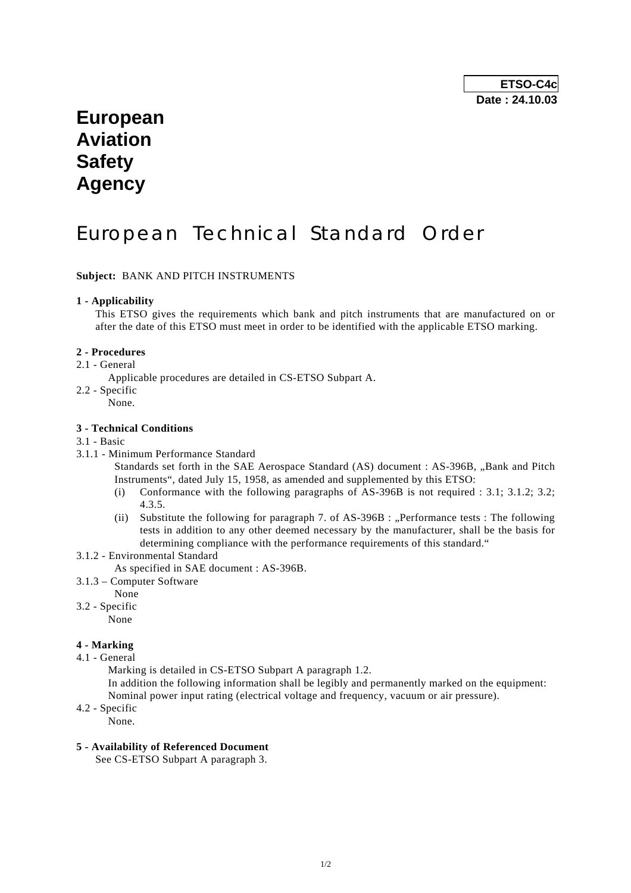# **European Aviation Safety Agency**

# European Technical Standard Order

### **Subject:** BANK AND PITCH INSTRUMENTS

### **1 - Applicability**

 This ETSO gives the requirements which bank and pitch instruments that are manufactured on or after the date of this ETSO must meet in order to be identified with the applicable ETSO marking.

#### **2 - Procedures**

2.1 - General

Applicable procedures are detailed in CS-ETSO Subpart A.

- 2.2 Specific
	- None.

#### **3 - Technical Conditions**

#### 3.1 - Basic

3.1.1 - Minimum Performance Standard

Standards set forth in the SAE Aerospace Standard (AS) document : AS-396B, "Bank and Pitch Instruments", dated July 15, 1958, as amended and supplemented by this ETSO:

- (i) Conformance with the following paragraphs of AS-396B is not required : 3.1; 3.1.2; 3.2; 4.3.5.
- (ii) Substitute the following for paragraph 7, of  $AS-396B$  : "Performance tests : The following tests in addition to any other deemed necessary by the manufacturer, shall be the basis for determining compliance with the performance requirements of this standard."
- 3.1.2 Environmental Standard
	- As specified in SAE document : AS-396B.
- 3.1.3 Computer Software
	- None
- 3.2 Specific

None

## **4 - Marking**

4.1 - General

Marking is detailed in CS-ETSO Subpart A paragraph 1.2.

 In addition the following information shall be legibly and permanently marked on the equipment: Nominal power input rating (electrical voltage and frequency, vacuum or air pressure).

4.2 - Specific

None.

#### **5 - Availability of Referenced Document**

See CS-ETSO Subpart A paragraph 3.